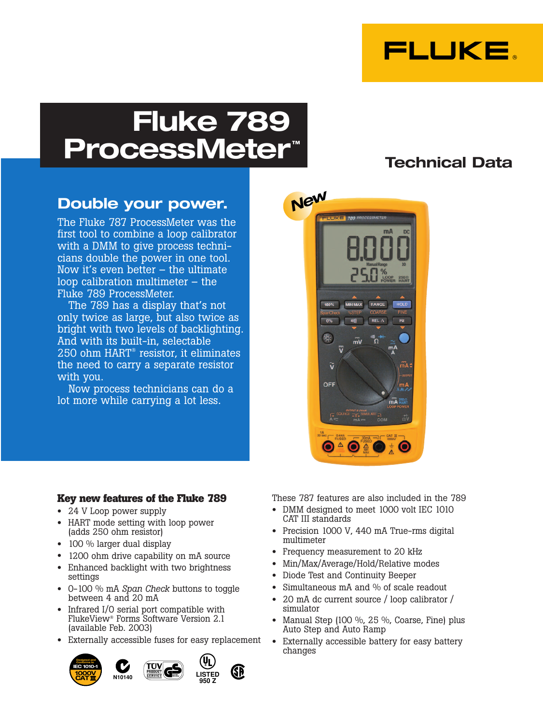

# **Fluke 789 ProcessMeter™**

## **Technical Data**

### **Double your power.**

The Fluke 787 ProcessMeter was the first tool to combine a loop calibrator with a DMM to give process technicians double the power in one tool. Now it's even better – the ultimate loop calibration multimeter – the Fluke 789 ProcessMeter.

The 789 has a display that's not only twice as large, but also twice as bright with two levels of backlighting. And with its built-in, selectable 250 ohm HART® resistor, it eliminates the need to carry a separate resistor with you.

Now process technicians can do a lot more while carrying a lot less.



#### **Key new features of the Fluke 789**

- 24 V Loop power supply
- HART mode setting with loop power (adds 250 ohm resistor)
- 100 % larger dual display
- 1200 ohm drive capability on mA source
- Enhanced backlight with two brightness settings
- 0-100 % mA *Span Check* buttons to toggle between 4 and 20 mA
- Infrared I/O serial port compatible with FlukeView® Forms Software Version 2.1 (available Feb. 2003)
- Externally accessible fuses for easy replacement







These 787 features are also included in the 789

- DMM designed to meet 1000 volt IEC 1010 CAT III standards
- Precision 1000 V, 440 mA True-rms digital multimeter
- Frequency measurement to 20 kHz
- Min/Max/Average/Hold/Relative modes
- Diode Test and Continuity Beeper
- Simultaneous mA and % of scale readout
- 20 mA dc current source / loop calibrator / simulator
- Manual Step (100 %, 25 %, Coarse, Fine) plus Auto Step and Auto Ramp
- Externally accessible battery for easy battery changes